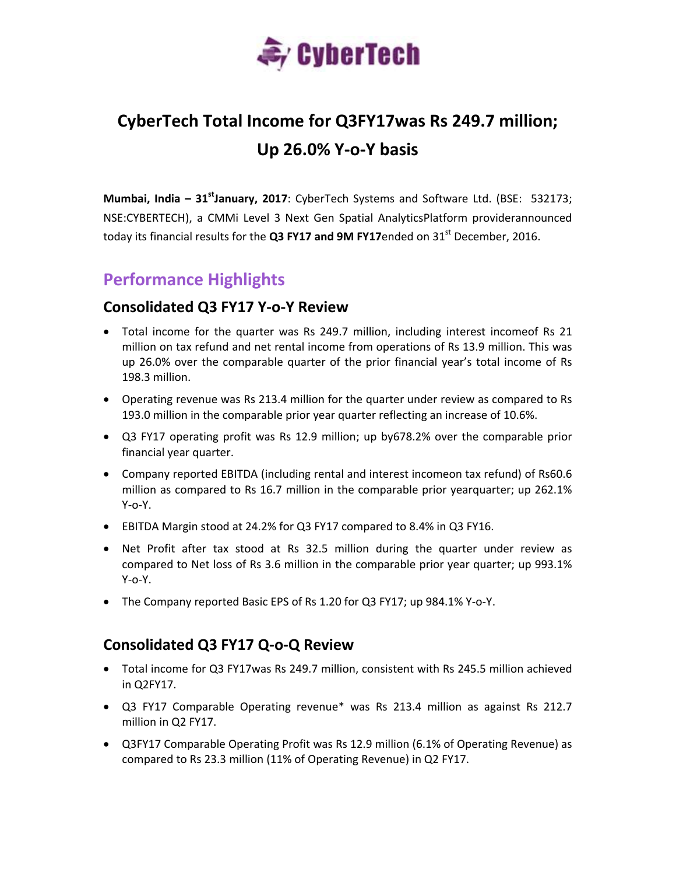

# **CyberTech Total Income for Q3FY17was Rs 249.7 million; Up 26.0% Y‐o‐Y basis**

**Mumbai, India – 31stJanuary, 2017**: CyberTech Systems and Software Ltd. (BSE: 532173; NSE:CYBERTECH), a CMMi Level 3 Next Gen Spatial AnalyticsPlatform providerannounced today its financial results for the **Q3 FY17 and 9M FY17**ended on 31st December, 2016.

# **Performance Highlights**

#### **Consolidated Q3 FY17 Y‐o‐Y Review**

- Total income for the quarter was Rs 249.7 million, including interest incomeof Rs 21 million on tax refund and net rental income from operations of Rs 13.9 million. This was up 26.0% over the comparable quarter of the prior financial year's total income of Rs 198.3 million.
- Operating revenue was Rs 213.4 million for the quarter under review as compared to Rs 193.0 million in the comparable prior year quarter reflecting an increase of 10.6%.
- Q3 FY17 operating profit was Rs 12.9 million; up by678.2% over the comparable prior financial year quarter.
- Company reported EBITDA (including rental and interest incomeon tax refund) of Rs60.6 million as compared to Rs 16.7 million in the comparable prior yearquarter; up 262.1% Y‐o‐Y.
- EBITDA Margin stood at 24.2% for Q3 FY17 compared to 8.4% in Q3 FY16.
- Net Profit after tax stood at Rs 32.5 million during the quarter under review as compared to Net loss of Rs 3.6 million in the comparable prior year quarter; up 993.1% Y‐o‐Y.
- The Company reported Basic EPS of Rs 1.20 for Q3 FY17; up 984.1% Y‐o‐Y.

### **Consolidated Q3 FY17 Q‐o‐Q Review**

- Total income for Q3 FY17was Rs 249.7 million, consistent with Rs 245.5 million achieved in Q2FY17.
- Q3 FY17 Comparable Operating revenue\* was Rs 213.4 million as against Rs 212.7 million in Q2 FY17.
- Q3FY17 Comparable Operating Profit was Rs 12.9 million (6.1% of Operating Revenue) as compared to Rs 23.3 million (11% of Operating Revenue) in Q2 FY17.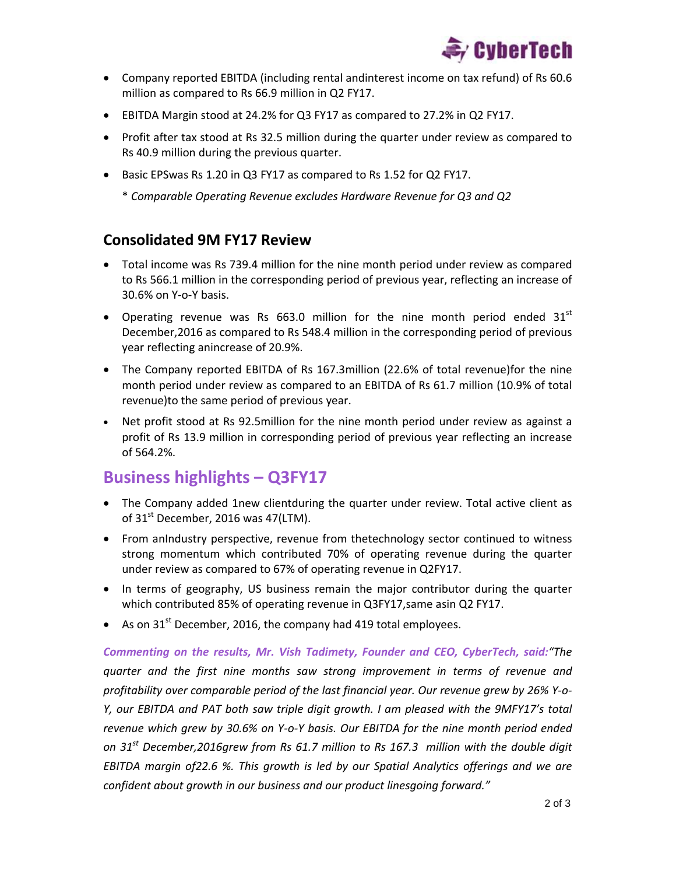

- Company reported EBITDA (including rental andinterest income on tax refund) of Rs 60.6 million as compared to Rs 66.9 million in Q2 FY17.
- EBITDA Margin stood at 24.2% for Q3 FY17 as compared to 27.2% in Q2 FY17.
- Profit after tax stood at Rs 32.5 million during the quarter under review as compared to Rs 40.9 million during the previous quarter.
- Basic EPSwas Rs 1.20 in Q3 FY17 as compared to Rs 1.52 for Q2 FY17.

\* *Comparable Operating Revenue excludes Hardware Revenue for Q3 and Q2*

#### **Consolidated 9M FY17 Review**

- Total income was Rs 739.4 million for the nine month period under review as compared to Rs 566.1 million in the corresponding period of previous year, reflecting an increase of 30.6% on Y‐o‐Y basis.
- Operating revenue was Rs 663.0 million for the nine month period ended  $31<sup>st</sup>$ December,2016 as compared to Rs 548.4 million in the corresponding period of previous year reflecting anincrease of 20.9%.
- The Company reported EBITDA of Rs 167.3million (22.6% of total revenue)for the nine month period under review as compared to an EBITDA of Rs 61.7 million (10.9% of total revenue)to the same period of previous year.
- Net profit stood at Rs 92.5million for the nine month period under review as against a profit of Rs 13.9 million in corresponding period of previous year reflecting an increase of 564.2%.

## **Business highlights – Q3FY17**

- The Company added 1new clientduring the quarter under review. Total active client as of  $31<sup>st</sup>$  December, 2016 was 47(LTM).
- From anIndustry perspective, revenue from thetechnology sector continued to witness strong momentum which contributed 70% of operating revenue during the quarter under review as compared to 67% of operating revenue in Q2FY17.
- In terms of geography, US business remain the major contributor during the quarter which contributed 85% of operating revenue in Q3FY17, same asin Q2 FY17.
- As on  $31<sup>st</sup>$  December, 2016, the company had 419 total employees.

*Commenting on the results, Mr. Vish Tadimety, Founder and CEO, CyberTech, said:"The quarter and the first nine months saw strong improvement in terms of revenue and profitability over comparable period of the last financial year. Our revenue grew by 26% Y‐o‐ Y, our EBITDA and PAT both saw triple digit growth. I am pleased with the 9MFY17's total* revenue which grew by 30.6% on Y-o-Y basis. Our EBITDA for the nine month period ended *on 31st December,2016grew from Rs 61.7 million to Rs 167.3 million with the double digit EBITDA margin of22.6 %. This growth is led by our Spatial Analytics offerings and we are confident about growth in our business and our product linesgoing forward."*